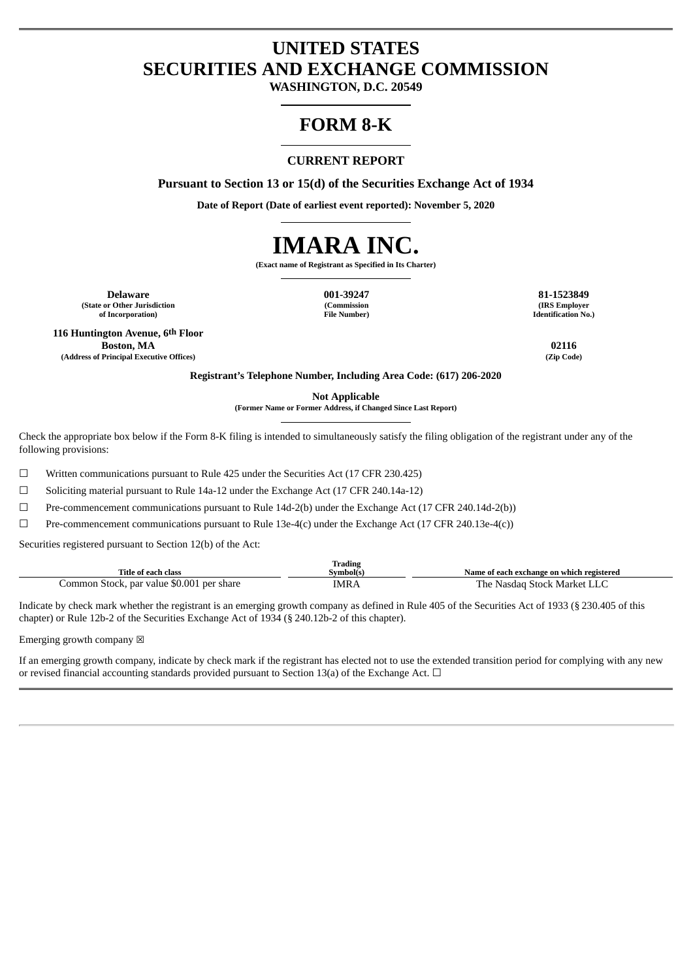# **UNITED STATES SECURITIES AND EXCHANGE COMMISSION**

**WASHINGTON, D.C. 20549**

# **FORM 8-K**

#### **CURRENT REPORT**

**Pursuant to Section 13 or 15(d) of the Securities Exchange Act of 1934**

**Date of Report (Date of earliest event reported): November 5, 2020**



**(Exact name of Registrant as Specified in Its Charter)**

**Delaware 001-39247 81-1523849 (State or Other Jurisdiction of Incorporation)**

**(Commission File Number)**

**(IRS Employer Identification No.)**

**116 Huntington Avenue, 6th Floor Boston, MA 02116 (Address of Principal Executive Offices) (Zip Code)**

**Registrant's Telephone Number, Including Area Code: (617) 206-2020**

**Not Applicable**

**(Former Name or Former Address, if Changed Since Last Report)**

Check the appropriate box below if the Form 8-K filing is intended to simultaneously satisfy the filing obligation of the registrant under any of the following provisions:

☐ Written communications pursuant to Rule 425 under the Securities Act (17 CFR 230.425)

☐ Soliciting material pursuant to Rule 14a-12 under the Exchange Act (17 CFR 240.14a-12)

☐ Pre-commencement communications pursuant to Rule 14d-2(b) under the Exchange Act (17 CFR 240.14d-2(b))

 $□$  Pre-commencement communications pursuant to Rule 13e-4(c) under the Exchange Act (17 CFR 240.13e-4(c))

Securities registered pursuant to Section 12(b) of the Act:

| Title of each class                       | <b>Trading</b><br>Symbol(s. | Name of each exchange on which registered |
|-------------------------------------------|-----------------------------|-------------------------------------------|
| Common Stock, par value \$0.001 per share | IMRA                        | The Nasdag Stock Market LLC               |

Indicate by check mark whether the registrant is an emerging growth company as defined in Rule 405 of the Securities Act of 1933 (§ 230.405 of this chapter) or Rule 12b-2 of the Securities Exchange Act of 1934 (§ 240.12b-2 of this chapter).

Emerging growth company  $\boxtimes$ 

If an emerging growth company, indicate by check mark if the registrant has elected not to use the extended transition period for complying with any new or revised financial accounting standards provided pursuant to Section 13(a) of the Exchange Act.  $\Box$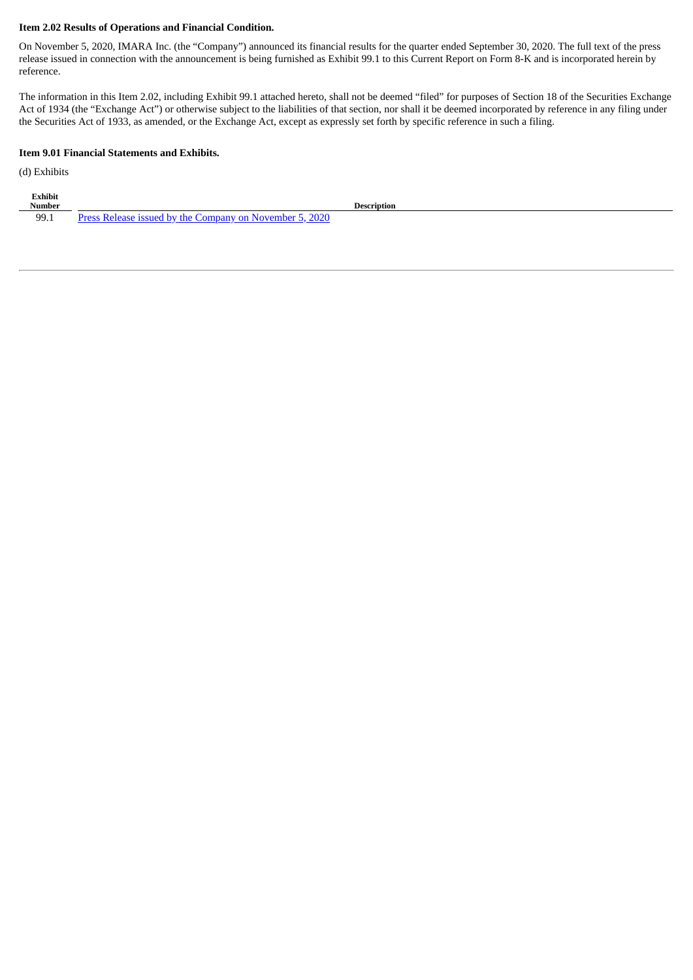#### **Item 2.02 Results of Operations and Financial Condition.**

On November 5, 2020, IMARA Inc. (the "Company") announced its financial results for the quarter ended September 30, 2020. The full text of the press release issued in connection with the announcement is being furnished as Exhibit 99.1 to this Current Report on Form 8-K and is incorporated herein by reference.

The information in this Item 2.02, including Exhibit 99.1 attached hereto, shall not be deemed "filed" for purposes of Section 18 of the Securities Exchange Act of 1934 (the "Exchange Act") or otherwise subject to the liabilities of that section, nor shall it be deemed incorporated by reference in any filing under the Securities Act of 1933, as amended, or the Exchange Act, except as expressly set forth by specific reference in such a filing.

#### **Item 9.01 Financial Statements and Exhibits.**

(d) Exhibits

| Exhibit<br><b>Number</b> |                                                                                       | Description |
|--------------------------|---------------------------------------------------------------------------------------|-------------|
| 99.1                     | 2020<br>November 5<br>r hv the f<br>. icenad<br>iomnany on<br>Drocc<br><b>Dolonco</b> |             |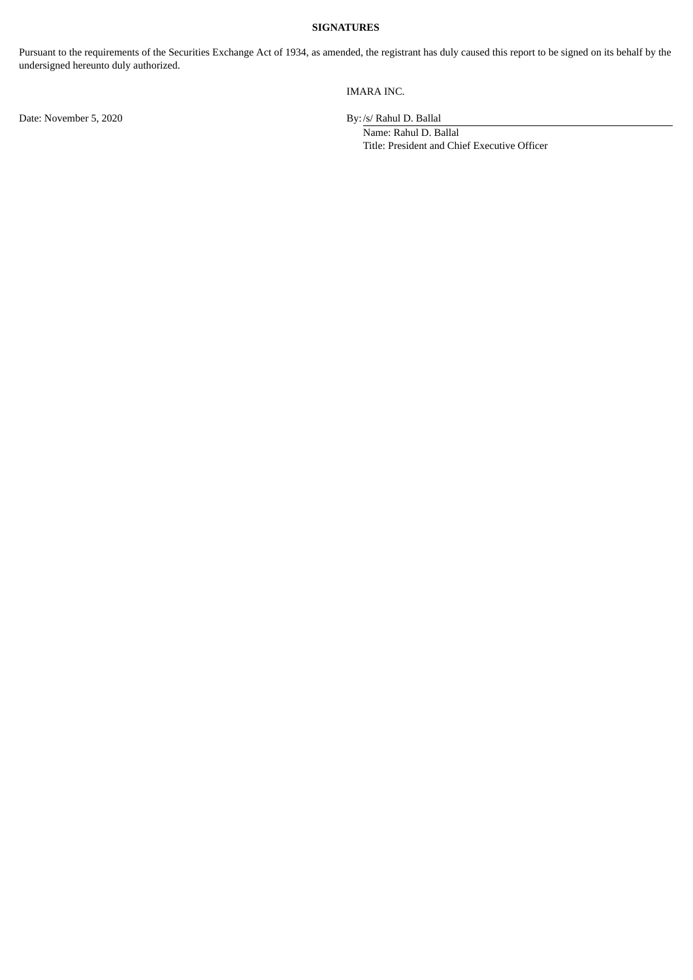#### **SIGNATURES**

Pursuant to the requirements of the Securities Exchange Act of 1934, as amended, the registrant has duly caused this report to be signed on its behalf by the undersigned hereunto duly authorized.

#### IMARA INC.

Name: Rahul D. Ballal Title: President and Chief Executive Officer

Date: November 5, 2020 By:/s/ Rahul D. Ballal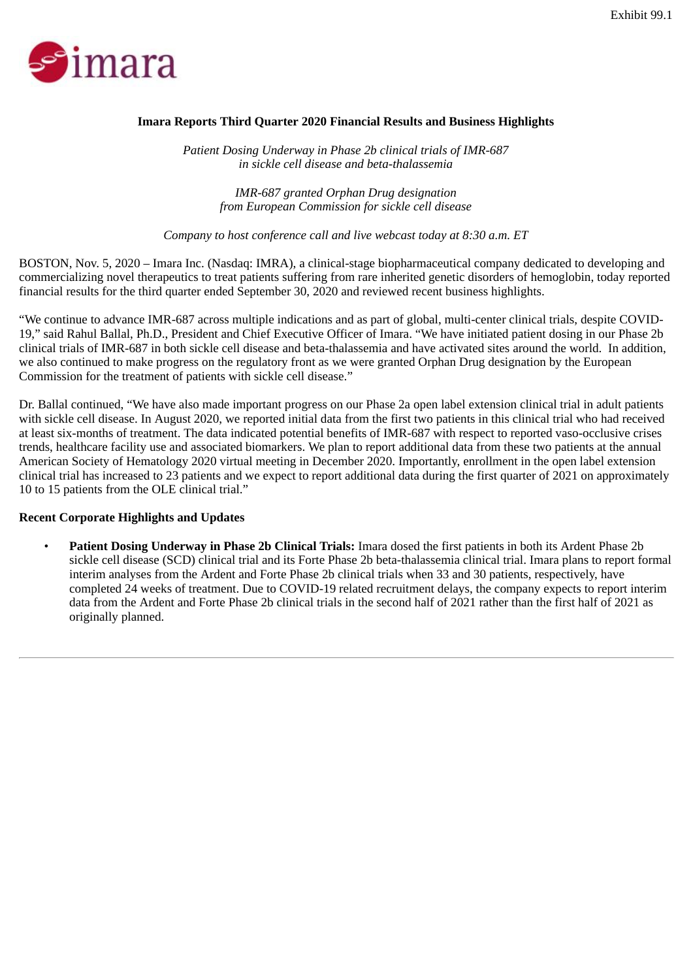<span id="page-3-0"></span>

## **Imara Reports Third Quarter 2020 Financial Results and Business Highlights**

*Patient Dosing Underway in Phase 2b clinical trials of IMR-687 in sickle cell disease and beta-thalassemia*

> *IMR-687 granted Orphan Drug designation from European Commission for sickle cell disease*

*Company to host conference call and live webcast today at 8:30 a.m. ET*

BOSTON, Nov. 5, 2020 – Imara Inc. (Nasdaq: IMRA), a clinical-stage biopharmaceutical company dedicated to developing and commercializing novel therapeutics to treat patients suffering from rare inherited genetic disorders of hemoglobin, today reported financial results for the third quarter ended September 30, 2020 and reviewed recent business highlights.

"We continue to advance IMR-687 across multiple indications and as part of global, multi-center clinical trials, despite COVID-19," said Rahul Ballal, Ph.D., President and Chief Executive Officer of Imara. "We have initiated patient dosing in our Phase 2b clinical trials of IMR-687 in both sickle cell disease and beta-thalassemia and have activated sites around the world. In addition, we also continued to make progress on the regulatory front as we were granted Orphan Drug designation by the European Commission for the treatment of patients with sickle cell disease."

Dr. Ballal continued, "We have also made important progress on our Phase 2a open label extension clinical trial in adult patients with sickle cell disease. In August 2020, we reported initial data from the first two patients in this clinical trial who had received at least six-months of treatment. The data indicated potential benefits of IMR-687 with respect to reported vaso-occlusive crises trends, healthcare facility use and associated biomarkers. We plan to report additional data from these two patients at the annual American Society of Hematology 2020 virtual meeting in December 2020. Importantly, enrollment in the open label extension clinical trial has increased to 23 patients and we expect to report additional data during the first quarter of 2021 on approximately 10 to 15 patients from the OLE clinical trial."

#### **Recent Corporate Highlights and Updates**

• **Patient Dosing Underway in Phase 2b Clinical Trials:** Imara dosed the first patients in both its Ardent Phase 2b sickle cell disease (SCD) clinical trial and its Forte Phase 2b beta-thalassemia clinical trial. Imara plans to report formal interim analyses from the Ardent and Forte Phase 2b clinical trials when 33 and 30 patients, respectively, have completed 24 weeks of treatment. Due to COVID-19 related recruitment delays, the company expects to report interim data from the Ardent and Forte Phase 2b clinical trials in the second half of 2021 rather than the first half of 2021 as originally planned.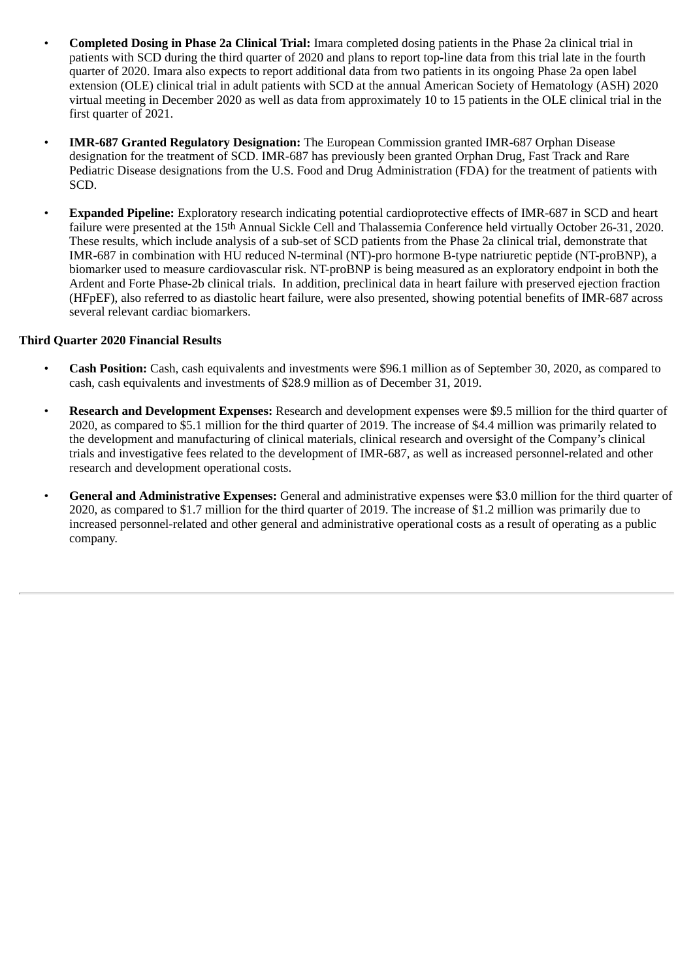- **Completed Dosing in Phase 2a Clinical Trial:** Imara completed dosing patients in the Phase 2a clinical trial in patients with SCD during the third quarter of 2020 and plans to report top-line data from this trial late in the fourth quarter of 2020. Imara also expects to report additional data from two patients in its ongoing Phase 2a open label extension (OLE) clinical trial in adult patients with SCD at the annual American Society of Hematology (ASH) 2020 virtual meeting in December 2020 as well as data from approximately 10 to 15 patients in the OLE clinical trial in the first quarter of 2021.
- **IMR-687 Granted Regulatory Designation:** The European Commission granted IMR-687 Orphan Disease designation for the treatment of SCD. IMR-687 has previously been granted Orphan Drug, Fast Track and Rare Pediatric Disease designations from the U.S. Food and Drug Administration (FDA) for the treatment of patients with SCD.
- **Expanded Pipeline:** Exploratory research indicating potential cardioprotective effects of IMR-687 in SCD and heart failure were presented at the 15th Annual Sickle Cell and Thalassemia Conference held virtually October 26-31, 2020. These results, which include analysis of a sub-set of SCD patients from the Phase 2a clinical trial, demonstrate that IMR-687 in combination with HU reduced N-terminal (NT)-pro hormone B-type natriuretic peptide (NT-proBNP), a biomarker used to measure cardiovascular risk. NT-proBNP is being measured as an exploratory endpoint in both the Ardent and Forte Phase-2b clinical trials. In addition, preclinical data in heart failure with preserved ejection fraction (HFpEF), also referred to as diastolic heart failure, were also presented, showing potential benefits of IMR-687 across several relevant cardiac biomarkers.

## **Third Quarter 2020 Financial Results**

- **Cash Position:** Cash, cash equivalents and investments were \$96.1 million as of September 30, 2020, as compared to cash, cash equivalents and investments of \$28.9 million as of December 31, 2019.
- **Research and Development Expenses:** Research and development expenses were \$9.5 million for the third quarter of 2020, as compared to \$5.1 million for the third quarter of 2019. The increase of \$4.4 million was primarily related to the development and manufacturing of clinical materials, clinical research and oversight of the Company's clinical trials and investigative fees related to the development of IMR-687, as well as increased personnel-related and other research and development operational costs.
- **General and Administrative Expenses:** General and administrative expenses were \$3.0 million for the third quarter of 2020, as compared to \$1.7 million for the third quarter of 2019. The increase of \$1.2 million was primarily due to increased personnel-related and other general and administrative operational costs as a result of operating as a public company.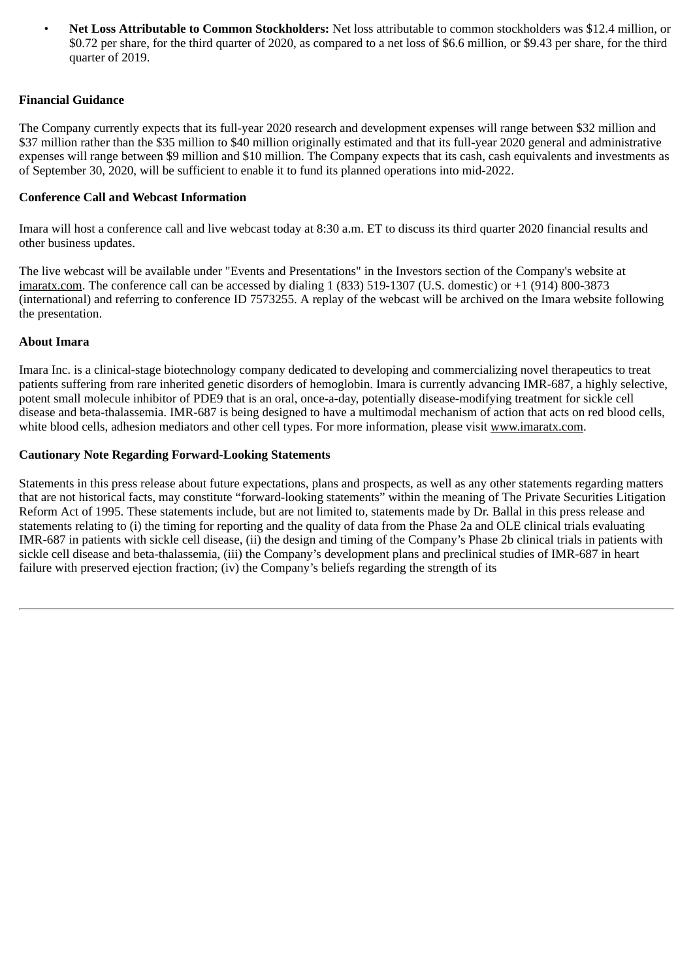• **Net Loss Attributable to Common Stockholders:** Net loss attributable to common stockholders was \$12.4 million, or \$0.72 per share, for the third quarter of 2020, as compared to a net loss of \$6.6 million, or \$9.43 per share, for the third quarter of 2019.

## **Financial Guidance**

The Company currently expects that its full-year 2020 research and development expenses will range between \$32 million and \$37 million rather than the \$35 million to \$40 million originally estimated and that its full-year 2020 general and administrative expenses will range between \$9 million and \$10 million. The Company expects that its cash, cash equivalents and investments as of September 30, 2020, will be sufficient to enable it to fund its planned operations into mid-2022.

## **Conference Call and Webcast Information**

Imara will host a conference call and live webcast today at 8:30 a.m. ET to discuss its third quarter 2020 financial results and other business updates.

The live webcast will be available under "Events and Presentations" in the Investors section of the Company's website at imaratx.com. The conference call can be accessed by dialing 1 (833) 519-1307 (U.S. domestic) or +1 (914) 800-3873 (international) and referring to conference ID 7573255. A replay of the webcast will be archived on the Imara website following the presentation.

### **About Imara**

Imara Inc. is a clinical-stage biotechnology company dedicated to developing and commercializing novel therapeutics to treat patients suffering from rare inherited genetic disorders of hemoglobin. Imara is currently advancing IMR-687, a highly selective, potent small molecule inhibitor of PDE9 that is an oral, once-a-day, potentially disease-modifying treatment for sickle cell disease and beta-thalassemia. IMR-687 is being designed to have a multimodal mechanism of action that acts on red blood cells, white blood cells, adhesion mediators and other cell types. For more information, please visit www.imaratx.com.

## **Cautionary Note Regarding Forward-Looking Statements**

Statements in this press release about future expectations, plans and prospects, as well as any other statements regarding matters that are not historical facts, may constitute "forward-looking statements" within the meaning of The Private Securities Litigation Reform Act of 1995. These statements include, but are not limited to, statements made by Dr. Ballal in this press release and statements relating to (i) the timing for reporting and the quality of data from the Phase 2a and OLE clinical trials evaluating IMR-687 in patients with sickle cell disease, (ii) the design and timing of the Company's Phase 2b clinical trials in patients with sickle cell disease and beta-thalassemia, (iii) the Company's development plans and preclinical studies of IMR-687 in heart failure with preserved ejection fraction; (iv) the Company's beliefs regarding the strength of its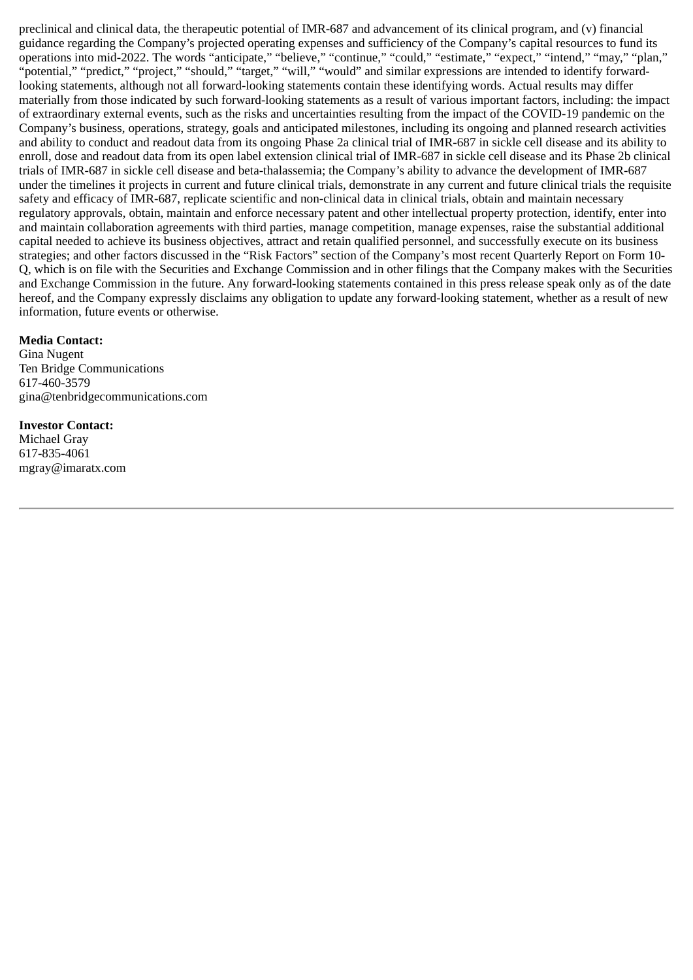preclinical and clinical data, the therapeutic potential of IMR-687 and advancement of its clinical program, and (v) financial guidance regarding the Company's projected operating expenses and sufficiency of the Company's capital resources to fund its operations into mid-2022. The words "anticipate," "believe," "continue," "could," "estimate," "expect," "intend," "may," "plan," "potential," "predict," "project," "should," "target," "will," "would" and similar expressions are intended to identify forwardlooking statements, although not all forward-looking statements contain these identifying words. Actual results may differ materially from those indicated by such forward-looking statements as a result of various important factors, including: the impact of extraordinary external events, such as the risks and uncertainties resulting from the impact of the COVID-19 pandemic on the Company's business, operations, strategy, goals and anticipated milestones, including its ongoing and planned research activities and ability to conduct and readout data from its ongoing Phase 2a clinical trial of IMR-687 in sickle cell disease and its ability to enroll, dose and readout data from its open label extension clinical trial of IMR-687 in sickle cell disease and its Phase 2b clinical trials of IMR-687 in sickle cell disease and beta-thalassemia; the Company's ability to advance the development of IMR-687 under the timelines it projects in current and future clinical trials, demonstrate in any current and future clinical trials the requisite safety and efficacy of IMR-687, replicate scientific and non-clinical data in clinical trials, obtain and maintain necessary regulatory approvals, obtain, maintain and enforce necessary patent and other intellectual property protection, identify, enter into and maintain collaboration agreements with third parties, manage competition, manage expenses, raise the substantial additional capital needed to achieve its business objectives, attract and retain qualified personnel, and successfully execute on its business strategies; and other factors discussed in the "Risk Factors" section of the Company's most recent Quarterly Report on Form 10- Q, which is on file with the Securities and Exchange Commission and in other filings that the Company makes with the Securities and Exchange Commission in the future. Any forward-looking statements contained in this press release speak only as of the date hereof, and the Company expressly disclaims any obligation to update any forward-looking statement, whether as a result of new information, future events or otherwise.

#### **Media Contact:**

Gina Nugent Ten Bridge Communications 617-460-3579 gina@tenbridgecommunications.com

## **Investor Contact:**

Michael Gray 617-835-4061 mgray@imaratx.com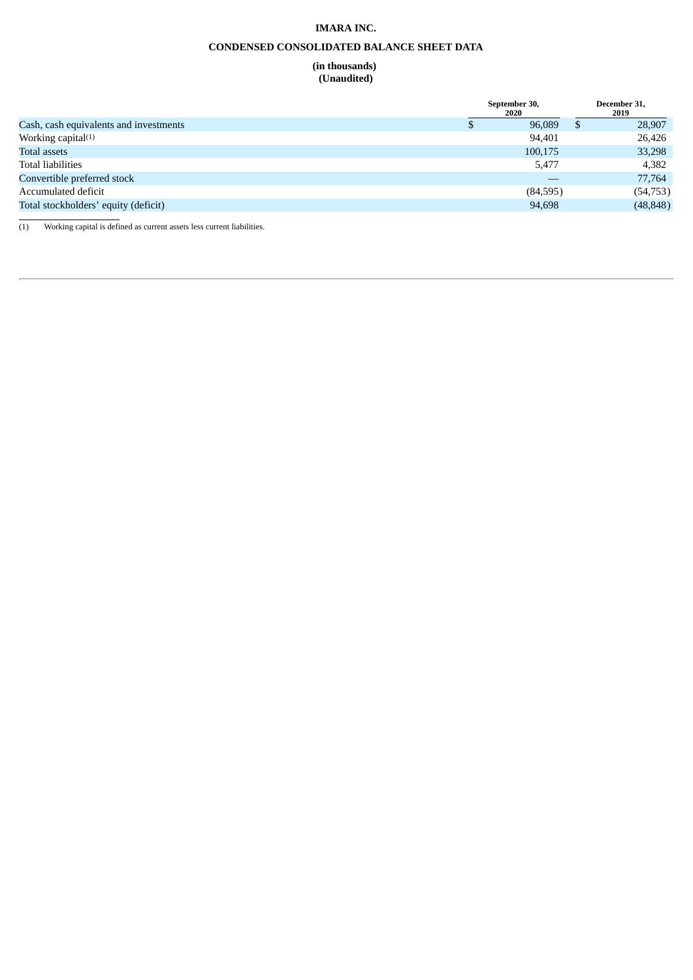#### **IMARA INC.**

#### **CONDENSED CONSOLIDATED BALANCE SHEET DATA**

#### **(in thousands) (Unaudited)**

|                                        | September 30,<br>2020 | December 31,<br>2019 |           |  |
|----------------------------------------|-----------------------|----------------------|-----------|--|
| Cash, cash equivalents and investments | 96,089                | Ъ                    | 28,907    |  |
| Working capital <sup>(1)</sup>         | 94,401                |                      | 26,426    |  |
| Total assets                           | 100,175               |                      | 33,298    |  |
| <b>Total liabilities</b>               | 5,477                 |                      | 4,382     |  |
| Convertible preferred stock            |                       |                      | 77,764    |  |
| Accumulated deficit                    | (84,595)              |                      | (54, 753) |  |
| Total stockholders' equity (deficit)   | 94,698                |                      | (48, 848) |  |
|                                        |                       |                      |           |  |

(1) Working capital is defined as current assets less current liabilities.